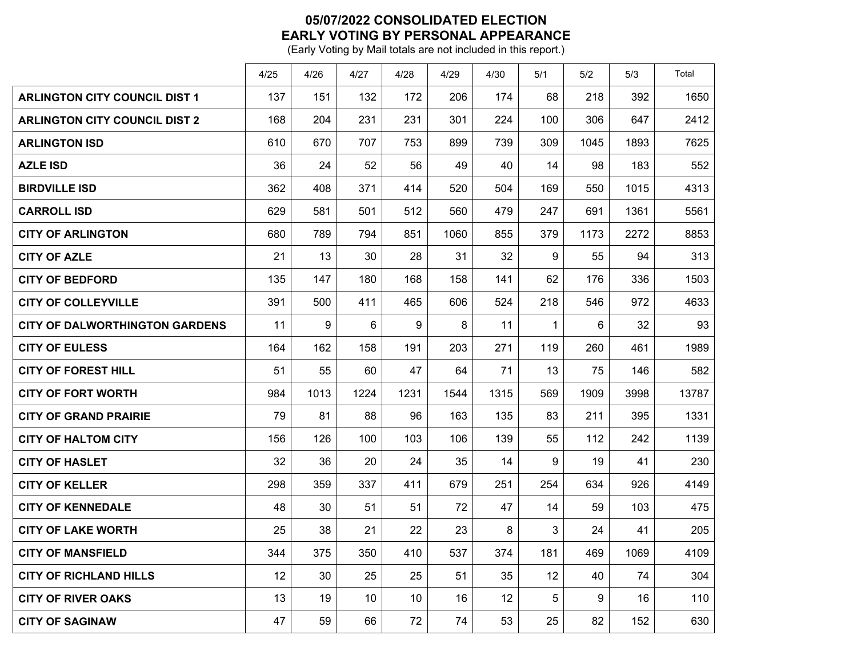## **05/07/2022 CONSOLIDATED ELECTION EARLY VOTING BY PERSONAL APPEARANCE**

(Early Voting by Mail totals are not included in this report.)

|                                       | 4/25 | 4/26 | 4/27 | 4/28 | 4/29 | 4/30 | 5/1 | 5/2  | 5/3  | Total |
|---------------------------------------|------|------|------|------|------|------|-----|------|------|-------|
| <b>ARLINGTON CITY COUNCIL DIST 1</b>  | 137  | 151  | 132  | 172  | 206  | 174  | 68  | 218  | 392  | 1650  |
| <b>ARLINGTON CITY COUNCIL DIST 2</b>  | 168  | 204  | 231  | 231  | 301  | 224  | 100 | 306  | 647  | 2412  |
| <b>ARLINGTON ISD</b>                  | 610  | 670  | 707  | 753  | 899  | 739  | 309 | 1045 | 1893 | 7625  |
| <b>AZLE ISD</b>                       | 36   | 24   | 52   | 56   | 49   | 40   | 14  | 98   | 183  | 552   |
| <b>BIRDVILLE ISD</b>                  | 362  | 408  | 371  | 414  | 520  | 504  | 169 | 550  | 1015 | 4313  |
| <b>CARROLL ISD</b>                    | 629  | 581  | 501  | 512  | 560  | 479  | 247 | 691  | 1361 | 5561  |
| <b>CITY OF ARLINGTON</b>              | 680  | 789  | 794  | 851  | 1060 | 855  | 379 | 1173 | 2272 | 8853  |
| <b>CITY OF AZLE</b>                   | 21   | 13   | 30   | 28   | 31   | 32   | 9   | 55   | 94   | 313   |
| <b>CITY OF BEDFORD</b>                | 135  | 147  | 180  | 168  | 158  | 141  | 62  | 176  | 336  | 1503  |
| <b>CITY OF COLLEYVILLE</b>            | 391  | 500  | 411  | 465  | 606  | 524  | 218 | 546  | 972  | 4633  |
| <b>CITY OF DALWORTHINGTON GARDENS</b> | 11   | 9    | 6    | 9    | 8    | 11   | 1   | 6    | 32   | 93    |
| <b>CITY OF EULESS</b>                 | 164  | 162  | 158  | 191  | 203  | 271  | 119 | 260  | 461  | 1989  |
| <b>CITY OF FOREST HILL</b>            | 51   | 55   | 60   | 47   | 64   | 71   | 13  | 75   | 146  | 582   |
| <b>CITY OF FORT WORTH</b>             | 984  | 1013 | 1224 | 1231 | 1544 | 1315 | 569 | 1909 | 3998 | 13787 |
| <b>CITY OF GRAND PRAIRIE</b>          | 79   | 81   | 88   | 96   | 163  | 135  | 83  | 211  | 395  | 1331  |
| <b>CITY OF HALTOM CITY</b>            | 156  | 126  | 100  | 103  | 106  | 139  | 55  | 112  | 242  | 1139  |
| <b>CITY OF HASLET</b>                 | 32   | 36   | 20   | 24   | 35   | 14   | 9   | 19   | 41   | 230   |
| <b>CITY OF KELLER</b>                 | 298  | 359  | 337  | 411  | 679  | 251  | 254 | 634  | 926  | 4149  |
| <b>CITY OF KENNEDALE</b>              | 48   | 30   | 51   | 51   | 72   | 47   | 14  | 59   | 103  | 475   |
| <b>CITY OF LAKE WORTH</b>             | 25   | 38   | 21   | 22   | 23   | 8    | 3   | 24   | 41   | 205   |
| <b>CITY OF MANSFIELD</b>              | 344  | 375  | 350  | 410  | 537  | 374  | 181 | 469  | 1069 | 4109  |
| <b>CITY OF RICHLAND HILLS</b>         | 12   | 30   | 25   | 25   | 51   | 35   | 12  | 40   | 74   | 304   |
| <b>CITY OF RIVER OAKS</b>             | 13   | 19   | 10   | 10   | 16   | 12   | 5   | 9    | 16   | 110   |
| <b>CITY OF SAGINAW</b>                | 47   | 59   | 66   | 72   | 74   | 53   | 25  | 82   | 152  | 630   |